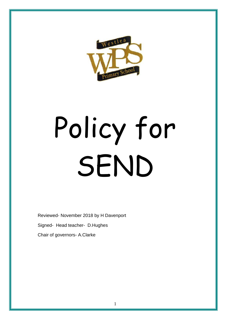

# Policy for SEND

Reviewed- November 2018 by H Davenport Signed- Head teacher- D.Hughes Chair of governors- A.Clarke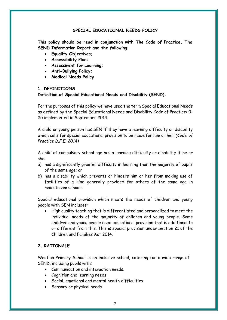## **SPECIAL EDUCATIONAL NEEDS POLICY**

**This policy should be read in conjunction with The Code of Practice, The SEND Information Report and the following:**

- **Equality Objectives;**
- **Accessibility Plan;**
- **Assessment for Learning;**
- **Anti-Bullying Policy;**
- **Medical Needs Policy**

## **1. DEFINITIONS**

## **Definition of Special Educational Needs and Disability (SEND):**

For the purposes of this policy we have used the term Special Educational Needs as defined by the Special Educational Needs and Disability Code of Practice: 0- 25 implemented in September 2014.

A child or young person has SEN if they have a learning difficulty or disability which calls for special educational provision to be made for him or her. *(Code of Practice D.F.E. 2014)*

A child of compulsory school age has a learning difficulty or disability if he or she:

- a) has a significantly greater difficulty in learning than the majority of pupils of the same age; or
- b) has a disability which prevents or hinders him or her from making use of facilities of a kind generally provided for others of the same age in mainstream schools.

Special educational provision which meets the needs of children and young people with SEN includes:

• High quality teaching that is differentiated and personalized to meet the individual needs of the majority of children and young people. Some children and young people need educational provision that is additional to or different from this. This is special provision under Section 21 of the Children and Families Act 2014.

## **2. RATIONALE**

Westlea Primary School is an inclusive school, catering for a wide range of SEND, including pupils with:

- Communication and interaction needs.
- Cognition and learning needs
- Social, emotional and mental health difficulties
- Sensory or physical needs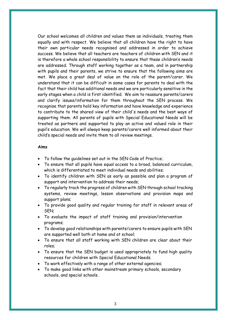Our school welcomes all children and values them as individuals, treating them equally and with respect. We believe that all children have the right to have their own particular needs recognised and addressed in order to achieve success. We believe that all teachers are teachers of children with SEN and it is therefore a whole school responsibility to ensure that these children's needs are addressed. Through staff working together as a team, and in partnership with pupils and their parents, we strive to ensure that the following aims are met. We place a great deal of value on the role of the parent/carer. We understand that it can be difficult in some cases for parents to deal with the fact that their child has additional needs and we are particularly sensitive in the early stages when a child is first identified. We aim to reassure parents/carers and clarify issues/information for them throughout the SEN process. We recognise that parents hold key information and have knowledge and experience to contribute to the shared view of their child's needs and the best ways of supporting them. All parents of pupils with Special Educational Needs will be treated as partners and supported to play an active and valued role in their pupil's education. We will always keep parents/carers well informed about their child's special needs and invite them to all review meetings.

#### **Aims**

- To follow the guidelines set out in the SEN Code of Practice;
- To ensure that all pupils have equal access to a broad, balanced curriculum, which is differentiated to meet individual needs and abilities;
- To identify children with SEN as early as possible and plan a program of support and intervention to address their needs;
- To regularly track the progress of children with SEN through school tracking systems, review meetings, lesson observations and provision maps and support plans;
- To provide good quality and regular training for staff in relevant areas of SEN;
- To evaluate the impact of staff training and provision/intervention programs;
- To develop good relationships with parents/carers to ensure pupils with SEN are supported well both at home and at school;
- To ensure that all staff working with SEN children are clear about their roles;
- To ensure that the SEN budget is used appropriately to fund high quality resources for children with Special Educational Needs.
- To work effectively with a range of other external agencies;
- To make good links with other mainstream primary schools, secondary schools, and special schools.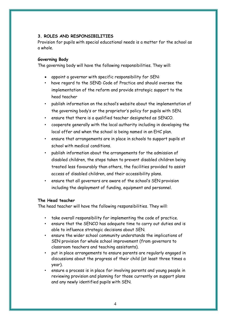# **3. ROLES AND RESPONSIBILITIES**

Provision for pupils with special educational needs is a matter for the school as a whole.

# **Governing Body**

The governing body will have the following responsibilities. They will:

- appoint a governor with specific responsibility for SEN:
- have regard to the SEND Code of Practice and should oversee the implementation of the reform and provide strategic support to the head teacher
- publish information on the school's website about the implementation of the governing body's or the proprietor's policy for pupils with SEN.
- ensure that there is a qualified teacher designated as SENCO.
- cooperate generally with the local authority including in developing the local offer and when the school is being named in an EHC plan.
- ensure that arrangements are in place in schools to support pupils at school with medical conditions.
- publish information about the arrangements for the admission of disabled children, the steps taken to prevent disabled children being treated less favourably than others, the facilities provided to assist access of disabled children, and their accessibility plans.
- ensure that all governors are aware of the school's SEN provision including the deployment of funding, equipment and personnel.

# **The Head teacher**

The head teacher will have the following responsibilities. They will:

- take overall responsibility for implementing the code of practice.
- ensure that the SENCO has adequate time to carry out duties and is able to influence strategic decisions about SEN.
- ensure the wider school community understands the implications of SEN provision for whole school improvement (from governors to classroom teachers and teaching assistants).
- put in place arrangements to ensure parents are regularly engaged in discussions about the progress of their child (at least three times a year).
- ensure a process is in place for involving parents and young people in reviewing provision and planning for those currently on support plans and any newly identified pupils with SEN.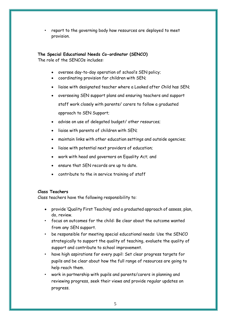• report to the governing body how resources are deployed to meet provision.

# **The Special Educational Needs Co-ordinator (SENCO)**

The role of the SENCOs includes:

- oversee day-to-day operation of school's SEN policy;
- coordinating provision for children with SEN;
- liaise with designated teacher where a Looked after Child has SEN;
- overseeing SEN support plans and ensuring teachers and support staff work closely with parents/ carers to follow a graduated approach to SEN Support;
- advise on use of delegated budget/ other resources;
- liaise with parents of children with SEN;
- maintain links with other education settings and outside agencies;
- liaise with potential next providers of education;
- work with head and governors on Equality Act; and
- ensure that SEN records are up to date.
- contribute to the in service training of staff

## **Class Teachers**

Class teachers have the following responsibility to:

- provide 'Quality First Teaching' and a graduated approach of assess, plan, do, review.
- focus on outcomes for the child: Be clear about the outcome wanted from any SEN support.
- be responsible for meeting special educational needs: Use the SENCO strategically to support the quality of teaching, evaluate the quality of support and contribute to school improvement.
- have high aspirations for every pupil: Set clear progress targets for pupils and be clear about how the full range of resources are going to help reach them.
- work in partnership with pupils and parents/carers in planning and reviewing progress, seek their views and provide regular updates on progress.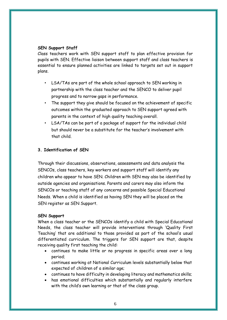# **SEN Support Staff**

Class teachers work with SEN support staff to plan effective provision for pupils with SEN. Effective liaison between support staff and class teachers is essential to ensure planned activities are linked to targets set out in support plans.

- LSA/TAs are part of the whole school approach to SEN working in partnership with the class teacher and the SENCO to deliver pupil progress and to narrow gaps in performance.
- The support they give should be focused on the achievement of specific outcomes within the graduated approach to SEN support agreed with parents in the context of high quality teaching overall.
- LSA/TAs can be part of a package of support for the individual child but should never be a substitute for the teacher's involvement with that child.

# **3. Identification of SEN**

Through their discussions, observations, assessments and data analysis the SENCOs, class teachers, key workers and support staff will identify any children who appear to have SEN. Children with SEN may also be identified by outside agencies and organisations. Parents and carers may also inform the SENCOs or teaching staff of any concerns and possible Special Educational Needs. When a child is identified as having SEN they will be placed on the SEN register as SEN Support.

# **SEN Support**

When a class teacher or the SENCOs identify a child with Special Educational Needs, the class teacher will provide interventions through 'Quality First Teaching' that are additional to those provided as part of the school's usual differentiated curriculum. The triggers for SEN support are that, despite receiving quality first teaching the child:

- continues to make little or no progress in specific areas over a long period;
- continues working at National Curriculum levels substantially below that expected of children of a similar age;
- continues to have difficulty in developing literacy and mathematics skills;
- has emotional difficulties which substantially and regularly interfere with the child's own learning or that of the class group.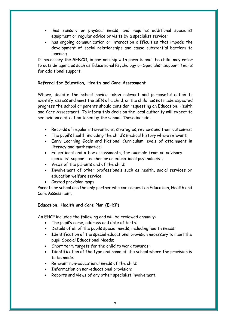- has sensory or physical needs, and requires additional specialist equipment or regular advice or visits by a specialist service;
- has ongoing communication or interaction difficulties that impede the development of social relationships and cause substantial barriers to learning.

If necessary the SENCO, in partnership with parents and the child, may refer to outside agencies such as Educational Psychology or Specialist Support Teams for additional support.

# **Referral for Education, Health and Care Assessment**

Where, despite the school having taken relevant and purposeful action to identify, assess and meet the SEN of a child, or the child has not made expected progress the school or parents should consider requesting an Education, Health and Care Assessment. To inform this decision the local authority will expect to see evidence of action taken by the school. These include:

- Records of regular interventions, strategies, reviews and their outcomes;
- The pupil's health including the child's medical history where relevant;
- Early Learning Goals and National Curriculum levels of attainment in literacy and mathematics;
- Educational and other assessments, for example from an advisory specialist support teacher or an educational psychologist;
- Views of the parents and of the child;
- Involvement of other professionals such as health, social services or education welfare service.
- Costed provision maps

Parents or school are the only partner who can request an Education, Health and Care Assessment.

## **Education, Health and Care Plan (EHCP)**

An EHCP includes the following and will be reviewed annually:

- The pupil's name, address and date of birth;
- Details of all of the pupils special needs, including health needs;
- Identification of the special educational provision necessary to meet the pupil Special Educational Needs;
- Short term targets for the child to work towards;
- Identification of the type and name of the school where the provision is to be made;
- Relevant non-educational needs of the child;
- Information on non-educational provision;
- Reports and views of any other specialist involvement.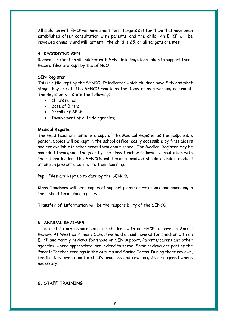All children with EHCP will have short-term targets set for them that have been established after consultation with parents, and the child. An EHCP will be reviewed annually and will last until the child is 25, or all targets are met.

## **4. RECORDING SEN**

Records are kept on all children with SEN, detailing steps taken to support them. Record files are kept by the SENCO

## **SEN Register**

This is a file kept by the SENCO. It indicates which children have SEN and what stage they are at. The SENCO maintains the Register as a working document. The Register will state the following:

- Child's name;
- Date of Birth;
- Details of SEN;
- Involvement of outside agencies;

## **Medical Register**

The head teacher maintains a copy of the Medical Register as the responsible person. Copies will be kept in the school office, easily accessible by first aiders and are available in other areas throughout school. The Medical Register may be amended throughout the year by the class teacher following consultation with their team leader. The SENCOs will become involved should a child's medical attention present a barrier to their learning.

**Pupil Files** are kept up to date by the SENCO.

**Class Teachers** will keep copies of support plans for reference and amending in their short term planning files

**Transfer of Information** will be the responsibility of the SENCO

## **5. ANNUAL REVIEWS**

It is a statutory requirement for children with an EHCP to have an Annual Review. At Westlea Primary School we hold annual reviews for children with an EHCP and termly reviews for those on SEN support. Parents/carers and other agencies, where appropriate, are invited to these. Some reviews are part of the Parent/Teacher evenings in the Autumn and Spring Terms. During these reviews, feedback is given about a child's progress and new targets are agreed where necessary.

## **6. STAFF TRAINING**